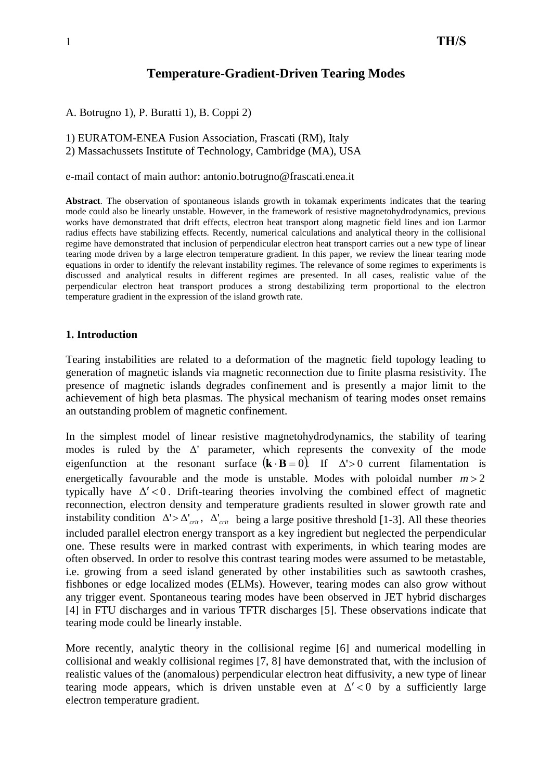# **Temperature-Gradient-Driven Tearing Modes**

A. Botrugno 1), P. Buratti 1), B. Coppi 2)

1) EURATOM-ENEA Fusion Association, Frascati (RM), Italy 2) Massachussets Institute of Technology, Cambridge (MA), USA

e-mail contact of main author: antonio.botrugno@frascati.enea.it

**Abstract**. The observation of spontaneous islands growth in tokamak experiments indicates that the tearing mode could also be linearly unstable. However, in the framework of resistive magnetohydrodynamics, previous works have demonstrated that drift effects, electron heat transport along magnetic field lines and ion Larmor radius effects have stabilizing effects. Recently, numerical calculations and analytical theory in the collisional regime have demonstrated that inclusion of perpendicular electron heat transport carries out a new type of linear tearing mode driven by a large electron temperature gradient. In this paper, we review the linear tearing mode equations in order to identify the relevant instability regimes. The relevance of some regimes to experiments is discussed and analytical results in different regimes are presented. In all cases, realistic value of the perpendicular electron heat transport produces a strong destabilizing term proportional to the electron temperature gradient in the expression of the island growth rate.

#### **1. Introduction**

Tearing instabilities are related to a deformation of the magnetic field topology leading to generation of magnetic islands via magnetic reconnection due to finite plasma resistivity. The presence of magnetic islands degrades confinement and is presently a major limit to the achievement of high beta plasmas. The physical mechanism of tearing modes onset remains an outstanding problem of magnetic confinement.

In the simplest model of linear resistive magnetohydrodynamics, the stability of tearing modes is ruled by the  $\Delta'$  parameter, which represents the convexity of the mode eigenfunction at the resonant surface  $(\mathbf{k} \cdot \mathbf{B} = 0)$ . If  $\Delta' > 0$  current filamentation is energetically favourable and the mode is unstable. Modes with poloidal number  $m > 2$ typically have  $\Delta' < 0$ . Drift-tearing theories involving the combined effect of magnetic reconnection, electron density and temperature gradients resulted in slower growth rate and instability condition  $\Delta' > \Delta'_{crit}$ ,  $\Delta'_{crit}$  being a large positive threshold [1-3]. All these theories included parallel electron energy transport as a key ingredient but neglected the perpendicular one. These results were in marked contrast with experiments, in which tearing modes are often observed. In order to resolve this contrast tearing modes were assumed to be metastable, i.e. growing from a seed island generated by other instabilities such as sawtooth crashes, fishbones or edge localized modes (ELMs). However, tearing modes can also grow without any trigger event. Spontaneous tearing modes have been observed in JET hybrid discharges [4] in FTU discharges and in various TFTR discharges [5]. These observations indicate that tearing mode could be linearly instable.

More recently, analytic theory in the collisional regime [6] and numerical modelling in collisional and weakly collisional regimes [7, 8] have demonstrated that, with the inclusion of realistic values of the (anomalous) perpendicular electron heat diffusivity, a new type of linear tearing mode appears, which is driven unstable even at  $\Delta' < 0$  by a sufficiently large electron temperature gradient.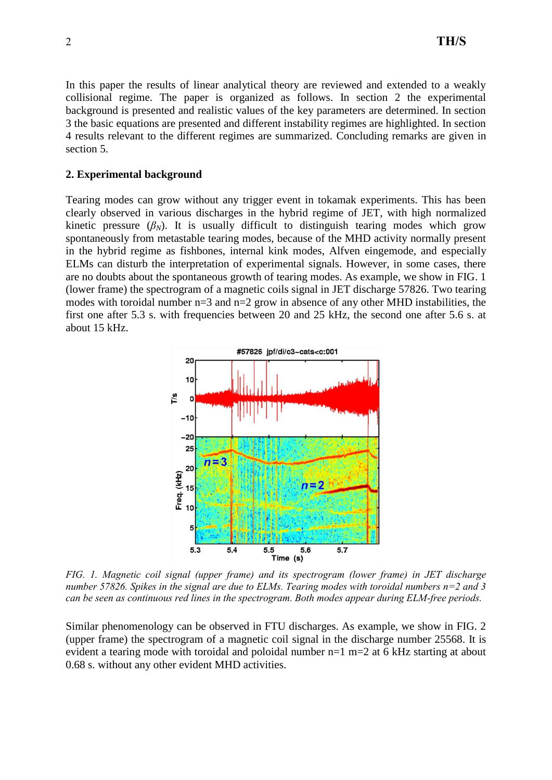In this paper the results of linear analytical theory are reviewed and extended to a weakly collisional regime. The paper is organized as follows. In section 2 the experimental background is presented and realistic values of the key parameters are determined. In section 3 the basic equations are presented and different instability regimes are highlighted. In section 4 results relevant to the different regimes are summarized. Concluding remarks are given in section 5.

### **2. Experimental background**

Tearing modes can grow without any trigger event in tokamak experiments. This has been clearly observed in various discharges in the hybrid regime of JET, with high normalized kinetic pressure  $(\beta_N)$ . It is usually difficult to distinguish tearing modes which grow spontaneously from metastable tearing modes, because of the MHD activity normally present in the hybrid regime as fishbones, internal kink modes, Alfven eingemode, and especially ELMs can disturb the interpretation of experimental signals. However, in some cases, there are no doubts about the spontaneous growth of tearing modes. As example, we show in FIG. 1 (lower frame) the spectrogram of a magnetic coils signal in JET discharge 57826. Two tearing modes with toroidal number  $n=3$  and  $n=2$  grow in absence of any other MHD instabilities, the first one after 5.3 s. with frequencies between 20 and 25 kHz, the second one after 5.6 s. at about 15 kHz.



*FIG. 1. Magnetic coil signal (upper frame) and its spectrogram (lower frame) in JET discharge number 57826. Spikes in the signal are due to ELMs. Tearing modes with toroidal numbers n=2 and 3 can be seen as continuous red lines in the spectrogram. Both modes appear during ELM-free periods.*

Similar phenomenology can be observed in FTU discharges. As example, we show in FIG. 2 (upper frame) the spectrogram of a magnetic coil signal in the discharge number 25568. It is evident a tearing mode with toroidal and poloidal number n=1 m=2 at 6 kHz starting at about 0.68 s. without any other evident MHD activities.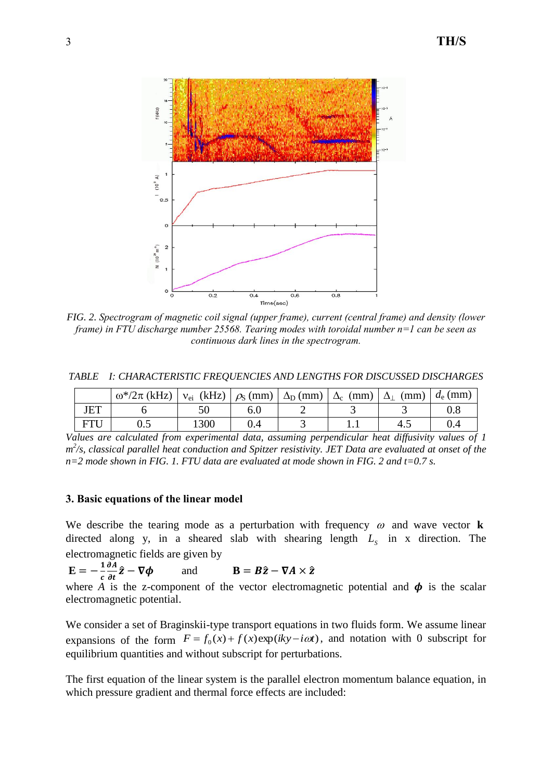

*FIG. 2. Spectrogram of magnetic coil signal (upper frame), current (central frame) and density (lower frame) in FTU discharge number 25568. Tearing modes with toroidal number n=1 can be seen as continuous dark lines in the spectrogram.*

*TABLE I: CHARACTERISTIC FREQUENCIES AND LENGTHS FOR DISCUSSED DISCHARGES*

|            | $\omega^*/2\pi$ (kHz) $\vert v_{ei}$ (kHz) $\vert \rho_S$ (mm) $\vert \Delta_D$ (mm) $\vert \Delta_c$ (mm) $\vert$ |      |     |   | $\Delta_1$<br>(mm) | $d_e$ (mm) |
|------------|--------------------------------------------------------------------------------------------------------------------|------|-----|---|--------------------|------------|
| <b>JET</b> |                                                                                                                    |      | b.U |   |                    |            |
| <b>FTI</b> | ◡.◡                                                                                                                | 1300 |     | . | 4.1                |            |

*Values are calculated from experimental data, assuming perpendicular heat diffusivity values of 1 m 2 /s, classical parallel heat conduction and Spitzer resistivity. JET Data are evaluated at onset of the n=2 mode shown in FIG. 1. FTU data are evaluated at mode shown in FIG. 2 and t=0.7 s.*

### **3. Basic equations of the linear model**

We describe the tearing mode as a perturbation with frequency  $\omega$  and wave vector **k** directed along y, in a sheared slab with shearing length  $L<sub>S</sub>$  in x direction. The electromagnetic fields are given by

 $E = -\frac{1}{4}$  $\boldsymbol{c}$  $\partial A$ дt and **B** =  $B\hat{z} - \nabla A \times \hat{z}$ where *A* is the z-component of the vector electromagnetic potential and  $\phi$  is the scalar electromagnetic potential.

We consider a set of Braginskii-type transport equations in two fluids form. We assume linear expansions of the form  $F = f_0(x) + f(x) \exp(iky - i\omega t)$ , and notation with 0 subscript for equilibrium quantities and without subscript for perturbations.

The first equation of the linear system is the parallel electron momentum balance equation, in which pressure gradient and thermal force effects are included: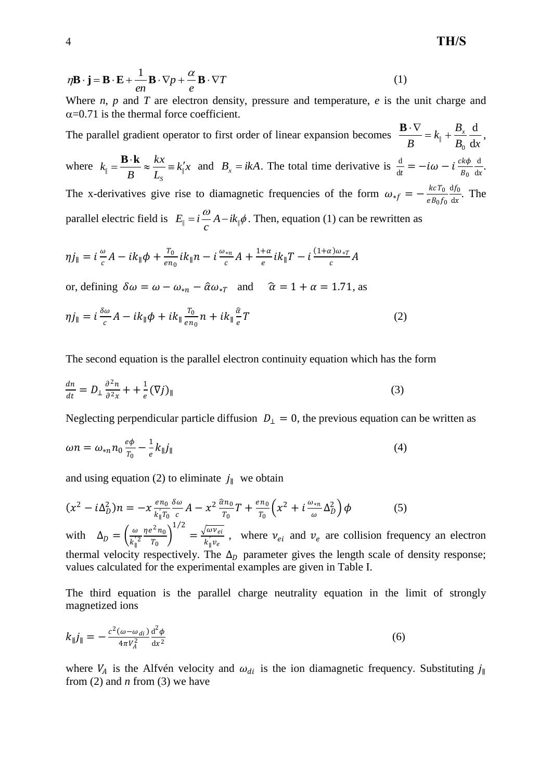$$
\eta \mathbf{B} \cdot \mathbf{j} = \mathbf{B} \cdot \mathbf{E} + \frac{1}{en} \mathbf{B} \cdot \nabla p + \frac{\alpha}{e} \mathbf{B} \cdot \nabla T \tag{1}
$$

Where *n, p* and *T* are electron density, pressure and temperature, *e* is the unit charge and  $\alpha$ =0.71 is the thermal force coefficient.

The parallel gradient operator to first order of linear expansion becomes  $B_0$  dx  $k_{\parallel} + \frac{B}{B}$ *B x* d d  $\mathbf{C}$  $\frac{\mathbf{B} \cdot \nabla}{\mathbf{B}} = k_{\parallel} + \frac{B_x}{B_x} \frac{d}{dx},$ where  $k_{\parallel} = \frac{\mathbf{b} \cdot \mathbf{R}}{R} \approx \frac{\hbar \lambda}{L} \equiv k_{\parallel}^{\prime} x$ *L kx B k S*  $\mathbf{B} \cdot \mathbf{k} \approx \frac{kx}{L} = k_1'x$  and  $B_x = ikA$ . The total time derivative is  $\frac{d}{dt} = -i\omega - i\frac{ck\phi}{B_0}$  $B_0$ d  $\frac{d}{dx}$ . The x-derivatives give rise to diamagnetic frequencies of the form  $\omega_{*f} = -\frac{k c T_0}{e R_0 f}$  $eB_0f_0$  $df_0$  $\frac{dJ_0}{dx}$ . The parallel electric field is  $E_{\parallel} = i \frac{\omega}{c} A - i k_{\parallel} \phi$  $E_{\parallel} = i \frac{\omega}{\omega} A - i k_{\parallel} \phi$ . Then, equation (1) can be rewritten as

$$
\eta j_{\parallel} = i \frac{\omega}{c} A - i k_{\parallel} \phi + \frac{T_0}{e n_0} i k_{\parallel} n - i \frac{\omega_{*n}}{c} A + \frac{1 + \alpha}{e} i k_{\parallel} T - i \frac{(1 + \alpha) \omega_{*T}}{c} A
$$

or, defining  $\delta \omega = \omega - \omega_{*n} - \hat{\alpha} \omega_{*r}$  and  $\hat{\alpha} = 1 + \alpha = 1.71$ , as

$$
\eta j_{\parallel} = i \frac{\delta \omega}{c} A - i k_{\parallel} \phi + i k_{\parallel} \frac{T_0}{e n_0} n + i k_{\parallel} \frac{\hat{a}}{e} T \tag{2}
$$

The second equation is the parallel electron continuity equation which has the form

$$
\frac{dn}{dt} = D_{\perp} \frac{\partial^2 n}{\partial^2 x} + \frac{1}{e} (\nabla j)_{\parallel}
$$
\n(3)

Neglecting perpendicular particle diffusion  $D_{\perp} = 0$ , the previous equation can be written as

$$
\omega n = \omega_{*n} n_0 \frac{e\phi}{T_0} - \frac{1}{e} k_{\parallel} j_{\parallel}
$$
\n<sup>(4)</sup>

and using equation (2) to eliminate  $j_{\parallel}$  we obtain

$$
(x^{2} - i\Delta_{D}^{2})n = -x \frac{e n_{0}}{k_{\parallel} T_{0}} \frac{\delta \omega}{c} A - x^{2} \frac{\hat{\alpha} n_{0}}{T_{0}} T + \frac{e n_{0}}{T_{0}} \left( x^{2} + i \frac{\omega_{*n}}{\omega} \Delta_{D}^{2} \right) \phi
$$
 (5)  
with  $\Delta_{D} = \left( \frac{\omega}{k_{\parallel}^{2}} \frac{\eta e^{2} n_{0}}{T_{0}} \right)^{1/2} = \frac{\sqrt{\omega v_{ei}}}{k_{\parallel} v_{e}}$ , where  $v_{ei}$  and  $v_{e}$  are collision frequency an electron thermal velocity respectively. The  $\Delta_{D}$  parameter gives the length scale of density response; values calculated for the experimental examples are given in Table I.

The third equation is the parallel charge neutrality equation in the limit of strongly magnetized ions

$$
k_{\parallel}j_{\parallel} = -\frac{c^2(\omega - \omega_{di})}{4\pi V_A^2} \frac{\mathrm{d}^2 \phi}{\mathrm{d}x^2} \tag{6}
$$

where  $V_A$  is the Alfvén velocity and  $\omega_{di}$  is the ion diamagnetic frequency. Substituting  $j_{\parallel}$ from (2) and *n* from (3) we have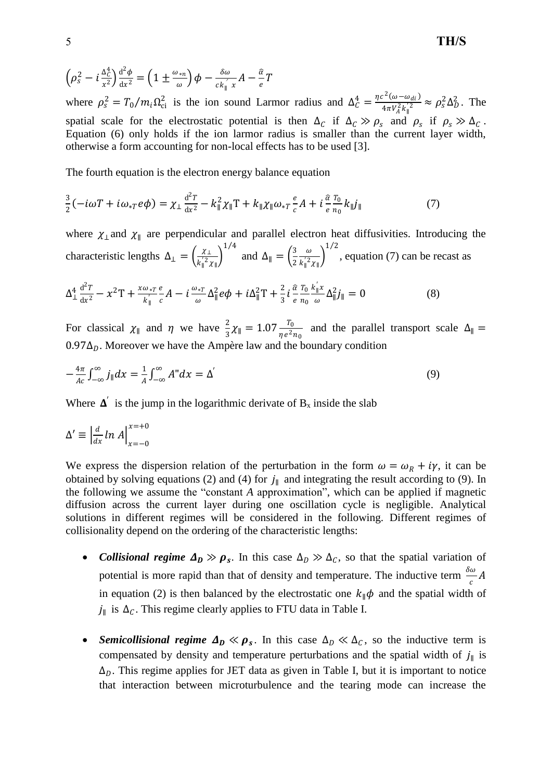5 **TH/S**

$$
\left(\rho_s^2 - i\frac{\Delta_c^4}{x^2}\right) \frac{\mathrm{d}^2 \phi}{\mathrm{d} x^2} = \left(1 \pm \frac{\omega_{*n}}{\omega}\right) \phi - \frac{\delta \omega}{c k \mu} A - \frac{\hat{\alpha}}{e} T
$$

where  $\rho_s^2 = T_0/m_i\Omega_{ci}^2$  is the ion sound Larmor radius and  $\Delta_c^4 = \frac{\eta c^2 (\omega - \omega_{di})}{4\pi V_c^2 k_s^2}$  $\frac{c^2(\omega - \omega_{di})}{4\pi V_A^2 k_\parallel^2} \approx \rho_s^2 \Delta_D^2$ . The spatial scale for the electrostatic potential is then  $\Delta_c$  if  $\Delta_c \gg \rho_s$  and  $\rho_s$  if  $\rho_s \gg \Delta_c$ . Equation (6) only holds if the ion larmor radius is smaller than the current layer width, otherwise a form accounting for non-local effects has to be used [3].

The fourth equation is the electron energy balance equation

$$
\frac{3}{2}(-i\omega T + i\omega_{*T}e\phi) = \chi_{\perp}\frac{\mathrm{d}^2 T}{\mathrm{d}x^2} - k_{\parallel}^2 \chi_{\parallel}T + k_{\parallel} \chi_{\parallel} \omega_{*T}\frac{e}{c}A + i\frac{\hat{a}T_0}{e}k_{\parallel}j_{\parallel}
$$
(7)

where  $\chi_{\perp}$  and  $\chi_{\parallel}$  are perpendicular and parallel electron heat diffusivities. Introducing the characteristic lengths  $\Delta_{\perp} = \left(\frac{\chi_{\perp}}{\chi_{\perp}^2\chi_{\perp}^2}\right)$  $\frac{\chi_{\perp}}{k_{\parallel}^{'2}\chi_{\parallel}}$  $1/4$ and  $\Delta_{\parallel} = \left(\frac{3}{2}\right)$ 2  $\omega$  $\frac{\omega}{k_{\parallel}^{'2}\chi_{\parallel}}$  $1/2$ , equation (7) can be recast as

$$
\Delta_{\perp}^{4} \frac{\mathrm{d}^{2} T}{\mathrm{d}x^{2}} - x^{2} \mathrm{T} + \frac{x \omega_{*T}}{k_{\parallel}} \frac{e}{c} A - i \frac{\omega_{*T}}{\omega} \Delta_{\parallel}^{2} e \phi + i \Delta_{\parallel}^{2} \mathrm{T} + \frac{2}{3} i \frac{\hat{\alpha}}{e} \frac{T_{0}}{n_{0}} \frac{k_{\parallel}^{'} x}{\omega} \Delta_{\parallel}^{2} j_{\parallel} = 0 \tag{8}
$$

For classical  $\chi_{\parallel}$  and  $\eta$  we have  $\frac{2}{3}\chi_{\parallel} = 1.07 \frac{T_0}{\eta e^2 n_0}$  and the parallel transport scale  $\Delta_{\parallel} =$  $0.97\Delta_{D}$ . Moreover we have the Ampère law and the boundary condition

$$
-\frac{4\pi}{Ac}\int_{-\infty}^{\infty}j_{\parallel}dx=\frac{1}{A}\int_{-\infty}^{\infty}A^{\prime\prime}dx=\Delta^{\prime}
$$
\n(9)

Where  $\Delta'$  is the jump in the logarithmic derivate of  $B_x$  inside the slab

$$
\Delta' \equiv \left| \frac{d}{dx} \ln A \right|_{x=-0}^{x=+0}
$$

We express the dispersion relation of the perturbation in the form  $\omega = \omega_R + i\gamma$ , it can be obtained by solving equations (2) and (4) for  $j_{\parallel}$  and integrating the result according to (9). In the following we assume the "constant *A* approximation", which can be applied if magnetic diffusion across the current layer during one oscillation cycle is negligible. Analytical solutions in different regimes will be considered in the following. Different regimes of collisionality depend on the ordering of the characteristic lengths:

- *Collisional regime*  $\Delta_D \gg \rho_s$ . In this case  $\Delta_D \gg \Delta_C$ , so that the spatial variation of potential is more rapid than that of density and temperature. The inductive term  $\frac{\delta \omega}{c} A$ in equation (2) is then balanced by the electrostatic one  $k_{\parallel} \phi$  and the spatial width of  $j_{\parallel}$  is  $\Delta_c$ . This regime clearly applies to FTU data in Table I.
- **Semicollisional regime**  $\Delta_D \ll \rho_s$ **.** In this case  $\Delta_D \ll \Delta_C$ , so the inductive term is compensated by density and temperature perturbations and the spatial width of  $j_{\parallel}$  is  $\Delta_D$ . This regime applies for JET data as given in Table I, but it is important to notice that interaction between microturbulence and the tearing mode can increase the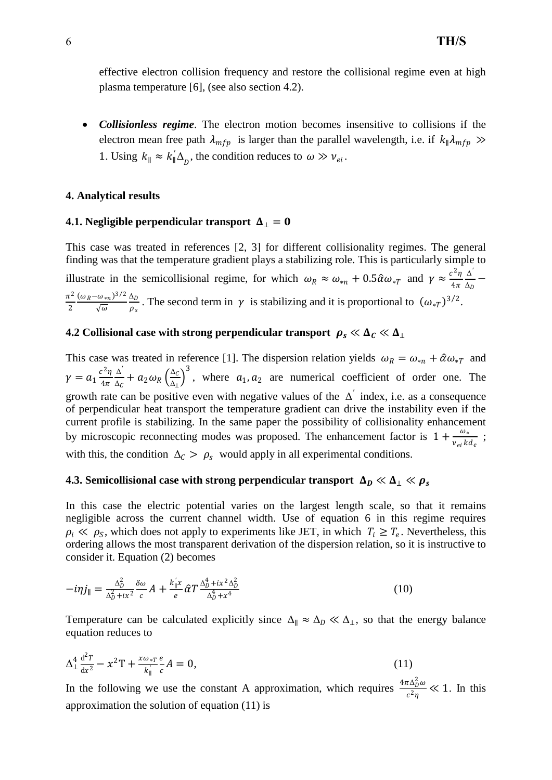effective electron collision frequency and restore the collisional regime even at high plasma temperature [6], (see also section 4.2).

 *Collisionless regime*. The electron motion becomes insensitive to collisions if the electron mean free path  $\lambda_{mfp}$  is larger than the parallel wavelength, i.e. if  $k_{\parallel} \lambda_{mfp} \gg$ 1. Using  $k_{\parallel} \approx k'_{\parallel} \Delta_{D}$ , the condition reduces to  $\omega \gg v_{ei}$ .

#### **4. Analytical results**

#### **4.1. Negligible perpendicular transport**  $\Delta_⊥ = 0$

This case was treated in references [2, 3] for different collisionality regimes. The general finding was that the temperature gradient plays a stabilizing role. This is particularly simple to illustrate in the semicollisional regime, for which  $\omega_R \approx \omega_{*n} + 0.5 \hat{\alpha} \omega_{*T}$  and  $\gamma \approx \frac{c^2 \eta}{4\pi}$  $4\pi$ Δ *′*  $\frac{\Delta}{\Delta_D}$  - $\pi^2$ 2  $(\omega_R - \omega_{*n})^{3/2}$  $\sqrt{\omega}$  $\Delta_D$  $\frac{\Delta_D}{\rho_s}$ . The second term in  $\gamma$  is stabilizing and it is proportional to  $(\omega_{*T})^{3/2}$ .

## **4.2 Collisional case with strong perpendicular transport**  $\rho_s \ll \Delta_c \ll \Delta_{\perp}$

This case was treated in reference [1]. The dispersion relation yields  $\omega_R = \omega_{*n} + \hat{\alpha}\omega_{*T}$  and  $\gamma = a_1 \frac{c^2 \eta}{4 \pi}$  $4\pi$ Δ *′*  $\frac{\Delta}{\Delta_C} + a_2 \omega_R \left( \frac{\Delta_C}{\Delta_L} \right)$  $\frac{\Delta_c}{\Delta_{\perp}}$ , where  $a_1, a_2$  are numerical coefficient of order one. The growth rate can be positive even with negative values of the Δ *′* index, i.e. as a consequence of perpendicular heat transport the temperature gradient can drive the instability even if the current profile is stabilizing. In the same paper the possibility of collisionality enhancement by microscopic reconnecting modes was proposed. The enhancement factor is  $1 + \frac{\omega}{\omega}$  $\frac{\omega_*}{v_{ei}kd_e}$ ; with this, the condition  $\Delta_C > \rho_s$  would apply in all experimental conditions.

### **4.3. Semicollisional case with strong perpendicular transport**  $\Delta_D \ll \Delta_\perp \ll \rho_s$

In this case the electric potential varies on the largest length scale, so that it remains negligible across the current channel width. Use of equation 6 in this regime requires  $\rho_i \ll \rho_S$ , which does not apply to experiments like JET, in which  $T_i \geq T_e$ . Nevertheless, this ordering allows the most transparent derivation of the dispersion relation, so it is instructive to consider it. Equation (2) becomes

$$
-i\eta j_{\parallel} = \frac{\Delta_D^2}{\Delta_D^2 + ix^2} \frac{\delta \omega}{c} A + \frac{k_{\parallel}^{\prime} x}{e} \hat{\alpha} T \frac{\Delta_D^4 + ix^2 \Delta_D^2}{\Delta_D^4 + x^4}
$$
(10)

Temperature can be calculated explicitly since  $\Delta_{\parallel} \approx \Delta_D \ll \Delta_{\perp}$ , so that the energy balance equation reduces to

$$
\Delta_{\perp}^{4} \frac{d^{2}T}{dx^{2}} - x^{2}T + \frac{x \omega_{*T}}{k_{\parallel}^{'}c} A = 0, \qquad (11)
$$

In the following we use the constant A approximation, which requires  $\frac{4\pi\Delta_0^2\omega}{2}$  $rac{\mu \Delta_D w}{c^2 \eta} \ll 1$ . In this approximation the solution of equation (11) is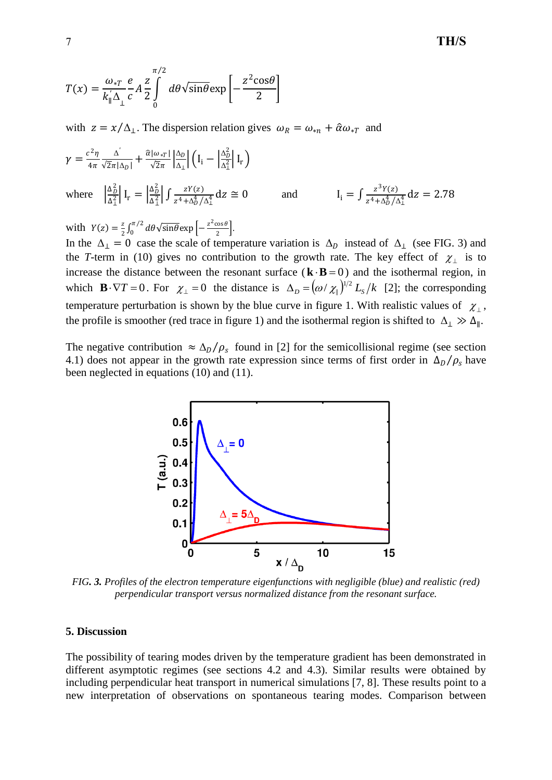$$
T(x) = \frac{\omega_{*T}}{k_{\parallel} \Delta_{\perp}} \frac{e}{c} A \frac{z}{2} \int_{0}^{\pi/2} d\theta \sqrt{\sin \theta} \exp \left[-\frac{z^2 \cos \theta}{2}\right]
$$

with  $z = x/\Delta_1$ . The dispersion relation gives  $\omega_R = \omega_{*n} + \hat{\alpha}\omega_{*T}$  and

$$
\gamma = \frac{c^2 \eta}{4\pi} \frac{\Delta^{'}}{\sqrt{2}\pi |\Delta_D|} + \frac{\hat{\alpha} |\omega_{*T}|}{\sqrt{2}\pi} \left| \frac{\Delta_D}{\Delta_{\perp}} \right| \left( I_i - \left| \frac{\Delta_D^2}{\Delta_{\perp}^2} \right| I_r \right)
$$
  
where 
$$
\left| \frac{\Delta_D^2}{\Delta_{\perp}^2} \right| I_r = \left| \frac{\Delta_D^2}{\Delta_{\perp}^2} \right| \int \frac{zY(z)}{z^4 + \Delta_D^4 / \Delta_{\perp}^4} dz \cong 0
$$
 and 
$$
I_i = \int \frac{z^3 Y(z)}{z^4 + \Delta_D^4 / \Delta_{\perp}^4} dz = 2.78
$$

with  $Y(z) = \frac{z}{z}$  $\frac{z}{2}$   $\int_0^{\pi/2} d\theta \sqrt{\sin \theta} \exp \left[-\frac{z^2 \cos \theta}{2}\right]$  $\int_0^{\pi/2} d\theta \sqrt{\sin \theta} \exp \left[-\frac{z^2 \cos \theta}{2}\right]$  $\int_0^{\pi/2} d\theta \sqrt{\sin \theta} \exp \left[-\frac{2 \cos \theta}{2}\right].$ 

In the  $\Delta_{\perp} = 0$  case the scale of temperature variation is  $\Delta_D$  instead of  $\Delta_{\perp}$  (see FIG. 3) and the *T*-term in (10) gives no contribution to the growth rate. The key effect of  $\chi_{\perp}$  is to increase the distance between the resonant surface  $(\mathbf{k} \cdot \mathbf{B} = 0)$  and the isothermal region, in which  $\mathbf{B} \cdot \nabla T = 0$ . For  $\chi_{\perp} = 0$  the distance is  $\Delta_D = (\omega / \chi_{\parallel})^{1/2} L_s / k$  [2]; the corresponding temperature perturbation is shown by the blue curve in figure 1. With realistic values of  $\chi_{\perp}$ , the profile is smoother (red trace in figure 1) and the isothermal region is shifted to  $\Delta_{\perp} \gg \Delta_{\parallel}$ .

The negative contribution  $\approx \Delta_D/\rho_s$  found in [2] for the semicollisional regime (see section 4.1) does not appear in the growth rate expression since terms of first order in  $\Delta_D/\rho_s$  have been neglected in equations (10) and (11).



*FIG. 3. Profiles of the electron temperature eigenfunctions with negligible (blue) and realistic (red) perpendicular transport versus normalized distance from the resonant surface.*

#### **5. Discussion**

The possibility of tearing modes driven by the temperature gradient has been demonstrated in different asymptotic regimes (see sections 4.2 and 4.3). Similar results were obtained by including perpendicular heat transport in numerical simulations [7, 8]. These results point to a new interpretation of observations on spontaneous tearing modes. Comparison between